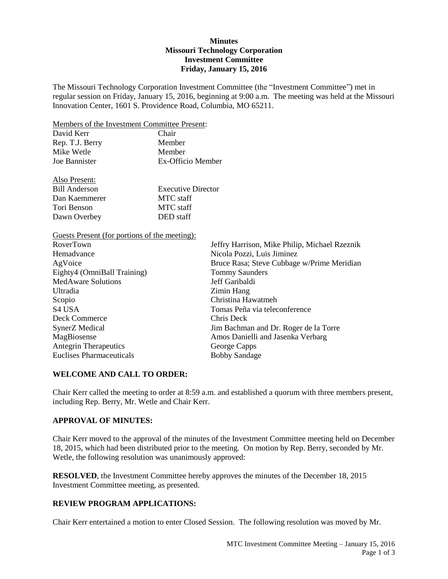# **Minutes Missouri Technology Corporation Investment Committee Friday, January 15, 2016**

The Missouri Technology Corporation Investment Committee (the "Investment Committee") met in regular session on Friday, January 15, 2016, beginning at 9:00 a.m. The meeting was held at the Missouri Innovation Center, 1601 S. Providence Road, Columbia, MO 65211.

Members of the Investment Committee Present:

| David Kerr      | Chair             |
|-----------------|-------------------|
| Rep. T.J. Berry | Member            |
| Mike Wetle      | Member            |
| Joe Bannister   | Ex-Officio Member |
|                 |                   |

| <b>Executive Director</b> |
|---------------------------|
|                           |
|                           |
|                           |
|                           |

Guests Present (for portions of the meeting):

Also Present:

| RoverTown                       | Jeffry Harrison, Mike Philip, Michael Rzeznik |
|---------------------------------|-----------------------------------------------|
| Hemadvance                      | Nicola Pozzi, Luis Jiminez                    |
| AgVoice                         | Bruce Rasa; Steve Cubbage w/Prime Meridian    |
| Eighty4 (OmniBall Training)     | <b>Tommy Saunders</b>                         |
| <b>MedAware Solutions</b>       | Jeff Garibaldi                                |
| Ultradia                        | Zimin Hang                                    |
| Scopio                          | Christina Hawatmeh                            |
| S <sub>4</sub> USA              | Tomas Peña via teleconference                 |
| Deck Commerce                   | Chris Deck                                    |
| SynerZ Medical                  | Jim Bachman and Dr. Roger de la Torre         |
| MagBiosense                     | Amos Danielli and Jasenka Verbarg             |
| <b>Antegrin Therapeutics</b>    | George Capps                                  |
| <b>Euclises Pharmaceuticals</b> | <b>Bobby Sandage</b>                          |

# **WELCOME AND CALL TO ORDER:**

Chair Kerr called the meeting to order at 8:59 a.m. and established a quorum with three members present, including Rep. Berry, Mr. Wetle and Chair Kerr.

# **APPROVAL OF MINUTES:**

Chair Kerr moved to the approval of the minutes of the Investment Committee meeting held on December 18, 2015, which had been distributed prior to the meeting. On motion by Rep. Berry, seconded by Mr. Wetle, the following resolution was unanimously approved:

**RESOLVED**, the Investment Committee hereby approves the minutes of the December 18, 2015 Investment Committee meeting, as presented.

# **REVIEW PROGRAM APPLICATIONS:**

Chair Kerr entertained a motion to enter Closed Session. The following resolution was moved by Mr.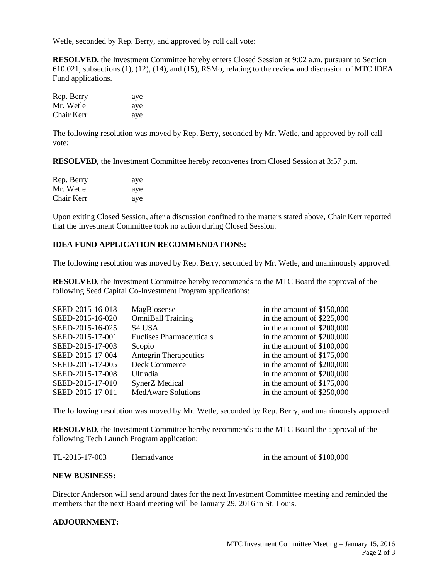Wetle, seconded by Rep. Berry, and approved by roll call vote:

**RESOLVED,** the Investment Committee hereby enters Closed Session at 9:02 a.m. pursuant to Section 610.021, subsections (1), (12), (14), and (15), RSMo, relating to the review and discussion of MTC IDEA Fund applications.

| Rep. Berry | aye |
|------------|-----|
| Mr. Wetle  | aye |
| Chair Kerr | aye |

The following resolution was moved by Rep. Berry, seconded by Mr. Wetle, and approved by roll call vote:

**RESOLVED**, the Investment Committee hereby reconvenes from Closed Session at 3:57 p.m.

| Rep. Berry | aye |
|------------|-----|
| Mr. Wetle  | aye |
| Chair Kerr | aye |

Upon exiting Closed Session, after a discussion confined to the matters stated above, Chair Kerr reported that the Investment Committee took no action during Closed Session.

# **IDEA FUND APPLICATION RECOMMENDATIONS:**

The following resolution was moved by Rep. Berry, seconded by Mr. Wetle, and unanimously approved:

**RESOLVED**, the Investment Committee hereby recommends to the MTC Board the approval of the following Seed Capital Co-Investment Program applications:

| SEED-2015-16-018 | MagBiosense                  | in the amount of \$150,000  |
|------------------|------------------------------|-----------------------------|
| SEED-2015-16-020 | <b>OmniBall Training</b>     | in the amount of \$225,000  |
| SEED-2015-16-025 | S <sub>4</sub> USA           | in the amount of \$200,000  |
| SEED-2015-17-001 | Euclises Pharmaceuticals     | in the amount of \$200,000  |
| SEED-2015-17-003 | Scopio                       | in the amount of \$100,000  |
| SEED-2015-17-004 | <b>Antegrin Therapeutics</b> | in the amount of $$175,000$ |
| SEED-2015-17-005 | Deck Commerce                | in the amount of \$200,000  |
| SEED-2015-17-008 | Ultradia                     | in the amount of \$200,000  |
| SEED-2015-17-010 | <b>SynerZ</b> Medical        | in the amount of $$175,000$ |
| SEED-2015-17-011 | <b>MedAware Solutions</b>    | in the amount of \$250,000  |
|                  |                              |                             |

The following resolution was moved by Mr. Wetle, seconded by Rep. Berry, and unanimously approved:

**RESOLVED**, the Investment Committee hereby recommends to the MTC Board the approval of the following Tech Launch Program application:

| TL-2015-17-003<br>Hemadvance | in the amount of $$100,000$ |
|------------------------------|-----------------------------|
|------------------------------|-----------------------------|

#### **NEW BUSINESS:**

Director Anderson will send around dates for the next Investment Committee meeting and reminded the members that the next Board meeting will be January 29, 2016 in St. Louis.

#### **ADJOURNMENT:**